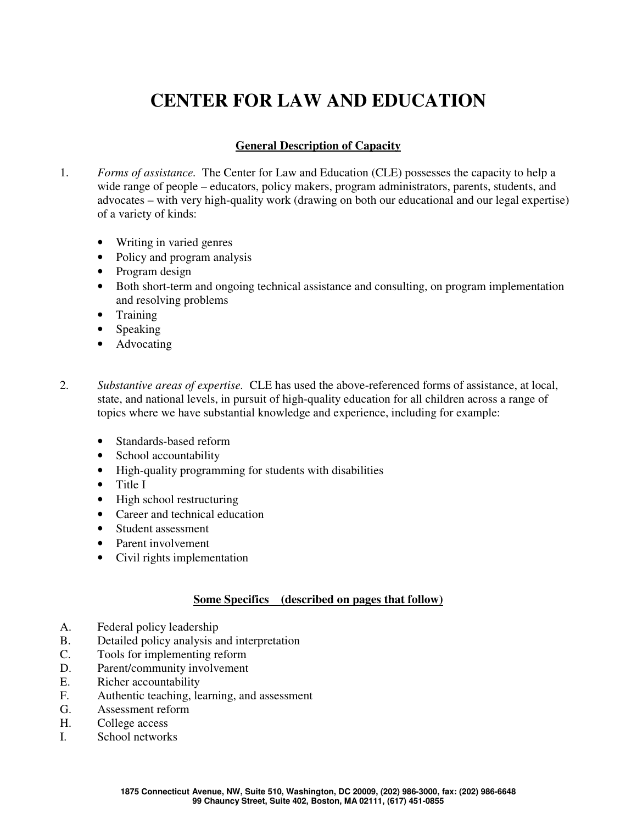## **CENTER FOR LAW AND EDUCATION**

## **General Description of Capacity**

- 1. *Forms of assistance.* The Center for Law and Education (CLE) possesses the capacity to help a wide range of people – educators, policy makers, program administrators, parents, students, and advocates – with very high-quality work (drawing on both our educational and our legal expertise) of a variety of kinds:
	- Writing in varied genres
	- Policy and program analysis
	- Program design
	- Both short-term and ongoing technical assistance and consulting, on program implementation and resolving problems
	- Training
	- Speaking
	- Advocating
- 2. *Substantive areas of expertise.* CLE has used the above-referenced forms of assistance, at local, state, and national levels, in pursuit of high-quality education for all children across a range of topics where we have substantial knowledge and experience, including for example:
	- Standards-based reform
	- School accountability
	- High-quality programming for students with disabilities
	- Title I
	- High school restructuring
	- Career and technical education
	- Student assessment
	- Parent involvement
	- Civil rights implementation

## **Some Specifics (described on pages that follow)**

- A. Federal policy leadership
- B. Detailed policy analysis and interpretation
- C. Tools for implementing reform
- D. Parent/community involvement
- E. Richer accountability
- F. Authentic teaching, learning, and assessment
- G. Assessment reform
- H. College access
- I. School networks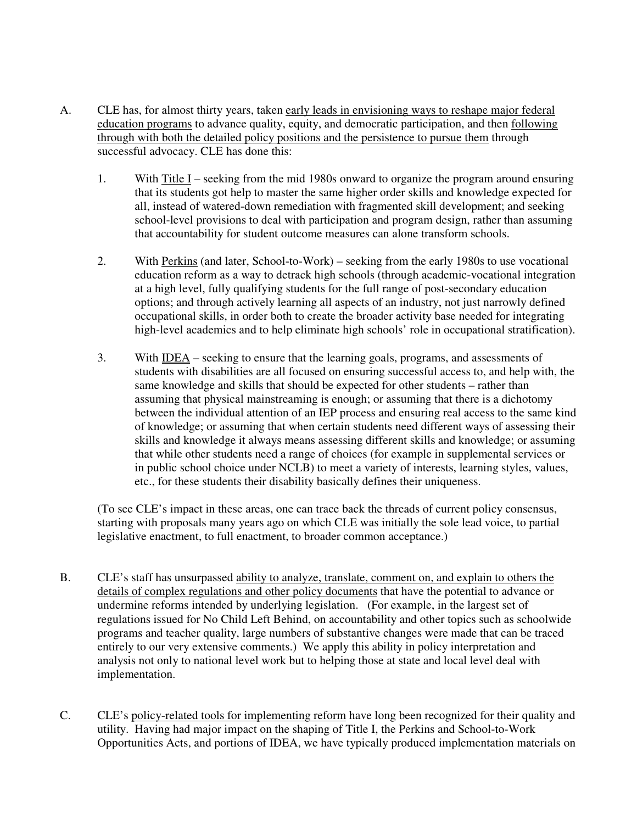- A. CLE has, for almost thirty years, taken early leads in envisioning ways to reshape major federal education programs to advance quality, equity, and democratic participation, and then following through with both the detailed policy positions and the persistence to pursue them through successful advocacy. CLE has done this:
	- 1. With Title I seeking from the mid 1980s onward to organize the program around ensuring that its students got help to master the same higher order skills and knowledge expected for all, instead of watered-down remediation with fragmented skill development; and seeking school-level provisions to deal with participation and program design, rather than assuming that accountability for student outcome measures can alone transform schools.
	- 2. With Perkins (and later, School-to-Work) seeking from the early 1980s to use vocational education reform as a way to detrack high schools (through academic-vocational integration at a high level, fully qualifying students for the full range of post-secondary education options; and through actively learning all aspects of an industry, not just narrowly defined occupational skills, in order both to create the broader activity base needed for integrating high-level academics and to help eliminate high schools' role in occupational stratification).
	- 3. With IDEA seeking to ensure that the learning goals, programs, and assessments of students with disabilities are all focused on ensuring successful access to, and help with, the same knowledge and skills that should be expected for other students – rather than assuming that physical mainstreaming is enough; or assuming that there is a dichotomy between the individual attention of an IEP process and ensuring real access to the same kind of knowledge; or assuming that when certain students need different ways of assessing their skills and knowledge it always means assessing different skills and knowledge; or assuming that while other students need a range of choices (for example in supplemental services or in public school choice under NCLB) to meet a variety of interests, learning styles, values, etc., for these students their disability basically defines their uniqueness.

(To see CLE's impact in these areas, one can trace back the threads of current policy consensus, starting with proposals many years ago on which CLE was initially the sole lead voice, to partial legislative enactment, to full enactment, to broader common acceptance.)

- B. CLE's staff has unsurpassed ability to analyze, translate, comment on, and explain to others the details of complex regulations and other policy documents that have the potential to advance or undermine reforms intended by underlying legislation. (For example, in the largest set of regulations issued for No Child Left Behind, on accountability and other topics such as schoolwide programs and teacher quality, large numbers of substantive changes were made that can be traced entirely to our very extensive comments.) We apply this ability in policy interpretation and analysis not only to national level work but to helping those at state and local level deal with implementation.
- C. CLE's policy-related tools for implementing reform have long been recognized for their quality and utility. Having had major impact on the shaping of Title I, the Perkins and School-to-Work Opportunities Acts, and portions of IDEA, we have typically produced implementation materials on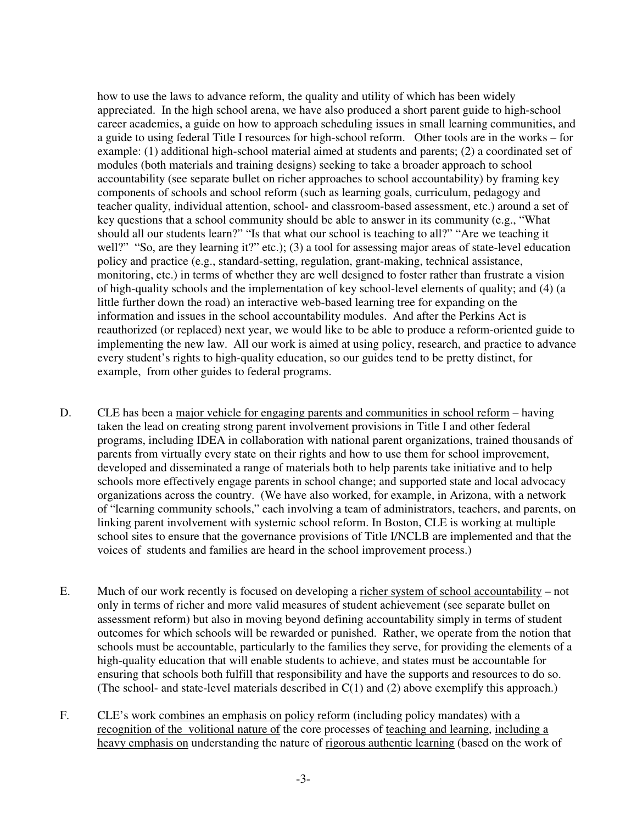how to use the laws to advance reform, the quality and utility of which has been widely appreciated. In the high school arena, we have also produced a short parent guide to high-school career academies, a guide on how to approach scheduling issues in small learning communities, and a guide to using federal Title I resources for high-school reform. Other tools are in the works – for example: (1) additional high-school material aimed at students and parents; (2) a coordinated set of modules (both materials and training designs) seeking to take a broader approach to school accountability (see separate bullet on richer approaches to school accountability) by framing key components of schools and school reform (such as learning goals, curriculum, pedagogy and teacher quality, individual attention, school- and classroom-based assessment, etc.) around a set of key questions that a school community should be able to answer in its community (e.g., "What should all our students learn?" "Is that what our school is teaching to all?" "Are we teaching it well?" "So, are they learning it?" etc.); (3) a tool for assessing major areas of state-level education policy and practice (e.g., standard-setting, regulation, grant-making, technical assistance, monitoring, etc.) in terms of whether they are well designed to foster rather than frustrate a vision of high-quality schools and the implementation of key school-level elements of quality; and (4) (a little further down the road) an interactive web-based learning tree for expanding on the information and issues in the school accountability modules. And after the Perkins Act is reauthorized (or replaced) next year, we would like to be able to produce a reform-oriented guide to implementing the new law. All our work is aimed at using policy, research, and practice to advance every student's rights to high-quality education, so our guides tend to be pretty distinct, for example, from other guides to federal programs.

- D. CLE has been a major vehicle for engaging parents and communities in school reform having taken the lead on creating strong parent involvement provisions in Title I and other federal programs, including IDEA in collaboration with national parent organizations, trained thousands of parents from virtually every state on their rights and how to use them for school improvement, developed and disseminated a range of materials both to help parents take initiative and to help schools more effectively engage parents in school change; and supported state and local advocacy organizations across the country. (We have also worked, for example, in Arizona, with a network of "learning community schools," each involving a team of administrators, teachers, and parents, on linking parent involvement with systemic school reform. In Boston, CLE is working at multiple school sites to ensure that the governance provisions of Title I/NCLB are implemented and that the voices of students and families are heard in the school improvement process.)
- E. Much of our work recently is focused on developing a richer system of school accountability not only in terms of richer and more valid measures of student achievement (see separate bullet on assessment reform) but also in moving beyond defining accountability simply in terms of student outcomes for which schools will be rewarded or punished. Rather, we operate from the notion that schools must be accountable, particularly to the families they serve, for providing the elements of a high-quality education that will enable students to achieve, and states must be accountable for ensuring that schools both fulfill that responsibility and have the supports and resources to do so. (The school- and state-level materials described in C(1) and (2) above exemplify this approach.)
- F. CLE's work combines an emphasis on policy reform (including policy mandates) with a recognition of the volitional nature of the core processes of teaching and learning, including a heavy emphasis on understanding the nature of rigorous authentic learning (based on the work of